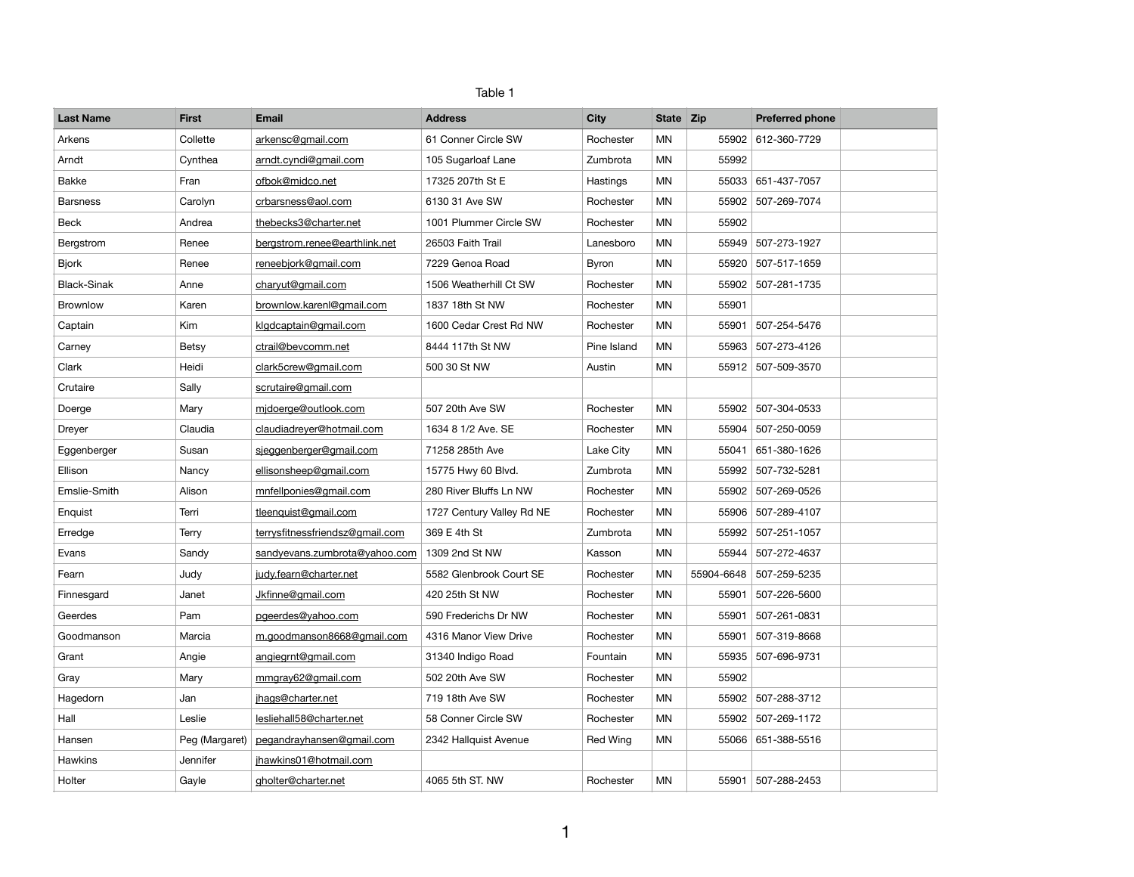| Table |  |
|-------|--|
|-------|--|

| <b>Last Name</b>   | <b>First</b>   | <b>Email</b>                    | <b>Address</b>            | <b>City</b>  | State Zip |            | <b>Preferred phone</b> |  |
|--------------------|----------------|---------------------------------|---------------------------|--------------|-----------|------------|------------------------|--|
| Arkens             | Collette       | arkensc@gmail.com               | 61 Conner Circle SW       | Rochester    | <b>MN</b> | 55902      | 612-360-7729           |  |
| Arndt              | Cynthea        | arndt.cyndi@gmail.com           | 105 Sugarloaf Lane        | Zumbrota     | MN        | 55992      |                        |  |
| Bakke              | Fran           | ofbok@midco.net                 | 17325 207th St E          | Hastings     | ΜN        |            | 55033 651-437-7057     |  |
| <b>Barsness</b>    | Carolyn        | crbarsness@aol.com              | 6130 31 Ave SW            | Rochester    | MN        |            | 55902 507-269-7074     |  |
| Beck               | Andrea         | thebecks3@charter.net           | 1001 Plummer Circle SW    | Rochester    | MN        | 55902      |                        |  |
| Bergstrom          | Renee          | bergstrom.renee@earthlink.net   | 26503 Faith Trail         | Lanesboro    | <b>MN</b> |            | 55949 507-273-1927     |  |
| <b>Bjork</b>       | Renee          | reneebjork@gmail.com            | 7229 Genoa Road           | <b>Byron</b> | ΜN        |            | 55920 507-517-1659     |  |
| <b>Black-Sinak</b> | Anne           | charyut@qmail.com               | 1506 Weatherhill Ct SW    | Rochester    | <b>MN</b> |            | 55902 507-281-1735     |  |
| Brownlow           | Karen          | brownlow.karenl@gmail.com       | 1837 18th St NW           | Rochester    | MN        | 55901      |                        |  |
| Captain            | Kim            | klgdcaptain@gmail.com           | 1600 Cedar Crest Rd NW    | Rochester    | <b>MN</b> | 55901      | 507-254-5476           |  |
| Carney             | <b>Betsy</b>   | ctrail@bevcomm.net              | 8444 117th St NW          | Pine Island  | ΜN        |            | 55963 507-273-4126     |  |
| Clark              | Heidi          | clark5crew@gmail.com            | 500 30 St NW              | Austin       | <b>MN</b> |            | 55912 507-509-3570     |  |
| Crutaire           | Sally          | scrutaire@gmail.com             |                           |              |           |            |                        |  |
| Doerge             | Mary           | midoerge@outlook.com            | 507 20th Ave SW           | Rochester    | <b>MN</b> |            | 55902 507-304-0533     |  |
| Dreyer             | Claudia        | claudiadreyer@hotmail.com       | 1634 8 1/2 Ave. SE        | Rochester    | MN        |            | 55904 507-250-0059     |  |
| Eggenberger        | Susan          | sjeggenberger@gmail.com         | 71258 285th Ave           | Lake City    | <b>MN</b> | 55041      | 651-380-1626           |  |
| Ellison            | Nancy          | ellisonsheep@gmail.com          | 15775 Hwy 60 Blvd.        | Zumbrota     | <b>MN</b> | 55992      | 507-732-5281           |  |
| Emslie-Smith       | Alison         | mnfellponies@gmail.com          | 280 River Bluffs Ln NW    | Rochester    | <b>MN</b> |            | 55902 507-269-0526     |  |
| Enquist            | Terri          | tleenquist@gmail.com            | 1727 Century Valley Rd NE | Rochester    | <b>MN</b> |            | 55906 507-289-4107     |  |
| Erredge            | Terry          | terrysfitnessfriendsz@gmail.com | 369 E 4th St              | Zumbrota     | <b>MN</b> | 55992      | 507-251-1057           |  |
| Evans              | Sandy          | sandyevans.zumbrota@yahoo.com   | 1309 2nd St NW            | Kasson       | MN        | 55944      | 507-272-4637           |  |
| Fearn              | Judy           | judy.fearn@charter.net          | 5582 Glenbrook Court SE   | Rochester    | <b>MN</b> | 55904-6648 | 507-259-5235           |  |
| Finnesgard         | Janet          | Jkfinne@gmail.com               | 420 25th St NW            | Rochester    | MN        | 55901      | 507-226-5600           |  |
| Geerdes            | Pam            | pgeerdes@yahoo.com              | 590 Frederichs Dr NW      | Rochester    | <b>MN</b> | 55901      | 507-261-0831           |  |
| Goodmanson         | Marcia         | m.goodmanson8668@gmail.com      | 4316 Manor View Drive     | Rochester    | MN        | 55901      | 507-319-8668           |  |
| Grant              | Angie          | angiegrnt@gmail.com             | 31340 Indigo Road         | Fountain     | <b>MN</b> |            | 55935 507-696-9731     |  |
| Gray               | Mary           | mmgray62@gmail.com              | 502 20th Ave SW           | Rochester    | ΜN        | 55902      |                        |  |
| Hagedorn           | Jan            | jhags@charter.net               | 719 18th Ave SW           | Rochester    | MN        | 55902      | 507-288-3712           |  |
| Hall               | Leslie         | lesliehall58@charter.net        | 58 Conner Circle SW       | Rochester    | <b>MN</b> |            | 55902 507-269-1172     |  |
| Hansen             | Peg (Margaret) | pegandrayhansen@gmail.com       | 2342 Hallquist Avenue     | Red Wing     | ΜN        |            | 55066 651-388-5516     |  |
| <b>Hawkins</b>     | Jennifer       | jhawkins01@hotmail.com          |                           |              |           |            |                        |  |
| Holter             | Gayle          | gholter@charter.net             | 4065 5th ST. NW           | Rochester    | MN        |            | 55901 507-288-2453     |  |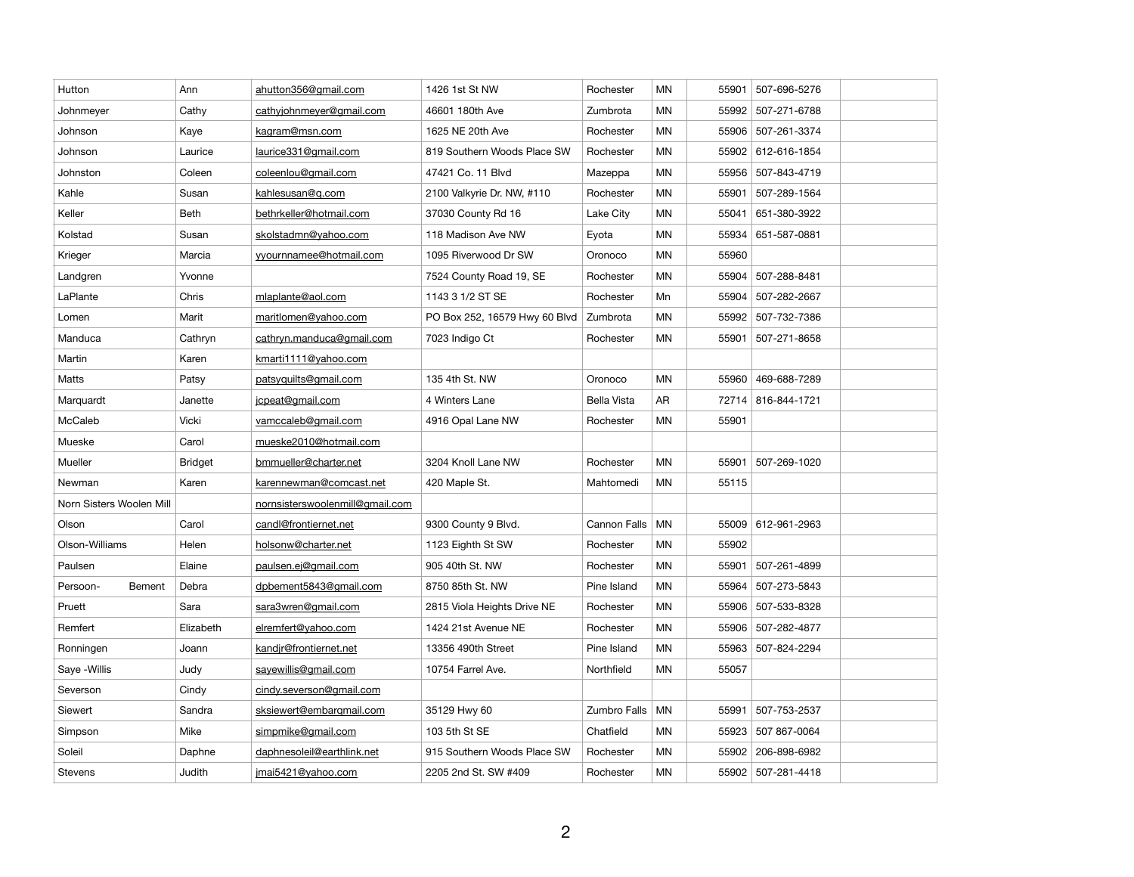| Hutton                   | Ann            | ahutton356@gmail.com            | 1426 1st St NW                | Rochester          | <b>MN</b> | 55901 | 507-696-5276       |  |
|--------------------------|----------------|---------------------------------|-------------------------------|--------------------|-----------|-------|--------------------|--|
| Johnmeyer                | Cathy          | cathyjohnmeyer@gmail.com        | 46601 180th Ave               | Zumbrota           | <b>MN</b> | 55992 | 507-271-6788       |  |
| Johnson                  | Kaye           | kagram@msn.com                  | 1625 NE 20th Ave              | Rochester          | MN        | 55906 | 507-261-3374       |  |
| Johnson                  | Laurice        | laurice331@gmail.com            | 819 Southern Woods Place SW   | Rochester          | MN        |       | 55902 612-616-1854 |  |
| Johnston                 | Coleen         | coleenlou@gmail.com             | 47421 Co. 11 Blvd             | Mazeppa            | ΜN        | 55956 | 507-843-4719       |  |
| Kahle                    | Susan          | kahlesusan@q.com                | 2100 Valkyrie Dr. NW, #110    | Rochester          | MN        | 55901 | 507-289-1564       |  |
| Keller                   | Beth           | bethrkeller@hotmail.com         | 37030 County Rd 16            | Lake City          | MN        | 55041 | 651-380-3922       |  |
| Kolstad                  | Susan          | skolstadmn@yahoo.com            | 118 Madison Ave NW            | Eyota              | MN        | 55934 | 651-587-0881       |  |
| Krieger                  | Marcia         | yyournnamee@hotmail.com         | 1095 Riverwood Dr SW          | Oronoco            | MN        | 55960 |                    |  |
| Landgren                 | Yvonne         |                                 | 7524 County Road 19, SE       | Rochester          | MN        | 55904 | 507-288-8481       |  |
| LaPlante                 | Chris          | mlaplante@aol.com               | 1143 3 1/2 ST SE              | Rochester          | Mn        | 55904 | 507-282-2667       |  |
| Lomen                    | Marit          | maritlomen@yahoo.com            | PO Box 252, 16579 Hwy 60 Blvd | Zumbrota           | MN        | 55992 | 507-732-7386       |  |
| Manduca                  | Cathryn        | cathryn.manduca@gmail.com       | 7023 Indigo Ct                | Rochester          | ΜN        | 55901 | 507-271-8658       |  |
| Martin                   | Karen          | kmarti1111@yahoo.com            |                               |                    |           |       |                    |  |
| Matts                    | Patsy          | patsyquilts@gmail.com           | 135 4th St. NW                | Oronoco            | MN        | 55960 | 469-688-7289       |  |
| Marquardt                | Janette        | jcpeat@gmail.com                | 4 Winters Lane                | <b>Bella Vista</b> | AR        | 72714 | 816-844-1721       |  |
| McCaleb                  | Vicki          | vamccaleb@gmail.com             | 4916 Opal Lane NW             | Rochester          | MN        | 55901 |                    |  |
| Mueske                   | Carol          | mueske2010@hotmail.com          |                               |                    |           |       |                    |  |
| Mueller                  | <b>Bridget</b> | bmmueller@charter.net           | 3204 Knoll Lane NW            | Rochester          | MN        | 55901 | 507-269-1020       |  |
| Newman                   | Karen          | karennewman@comcast.net         | 420 Maple St.                 | Mahtomedi          | MN        | 55115 |                    |  |
| Norn Sisters Woolen Mill |                | nornsisterswoolenmill@gmail.com |                               |                    |           |       |                    |  |
| Olson                    | Carol          | candl@frontiernet.net           | 9300 County 9 Blvd.           | Cannon Falls       | MN        |       | 55009 612-961-2963 |  |
| Olson-Williams           | Helen          | holsonw@charter.net             | 1123 Eighth St SW             | Rochester          | MN        | 55902 |                    |  |
| Paulsen                  | Elaine         | paulsen.ej@gmail.com            | 905 40th St. NW               | Rochester          | MN        | 55901 | 507-261-4899       |  |
| Persoon-<br>Bement       | Debra          | dpbement5843@qmail.com          | 8750 85th St. NW              | Pine Island        | MN        | 55964 | 507-273-5843       |  |
| Pruett                   | Sara           | sara3wren@gmail.com             | 2815 Viola Heights Drive NE   | Rochester          | <b>MN</b> | 55906 | 507-533-8328       |  |
| Remfert                  | Elizabeth      | elremfert@yahoo.com             | 1424 21st Avenue NE           | Rochester          | MN        | 55906 | 507-282-4877       |  |
| Ronningen                | Joann          | kandir@frontiernet.net          | 13356 490th Street            | Pine Island        | MN        | 55963 | 507-824-2294       |  |
| Saye -Willis             | Judy           | sayewillis@gmail.com            | 10754 Farrel Ave.             | Northfield         | <b>MN</b> | 55057 |                    |  |
| Severson                 | Cindy          | cindy.severson@gmail.com        |                               |                    |           |       |                    |  |
| Siewert                  | Sandra         | sksiewert@embarqmail.com        | 35129 Hwy 60                  | Zumbro Falls       | <b>MN</b> | 55991 | 507-753-2537       |  |
| Simpson                  | Mike           | simpmike@gmail.com              | 103 5th St SE                 | Chatfield          | MN        | 55923 | 507 867-0064       |  |
| Soleil                   | Daphne         | daphnesoleil@earthlink.net      | 915 Southern Woods Place SW   | Rochester          | <b>MN</b> | 55902 | 206-898-6982       |  |
| Stevens                  | Judith         | jmai5421@yahoo.com              | 2205 2nd St. SW #409          | Rochester          | <b>MN</b> |       | 55902 507-281-4418 |  |